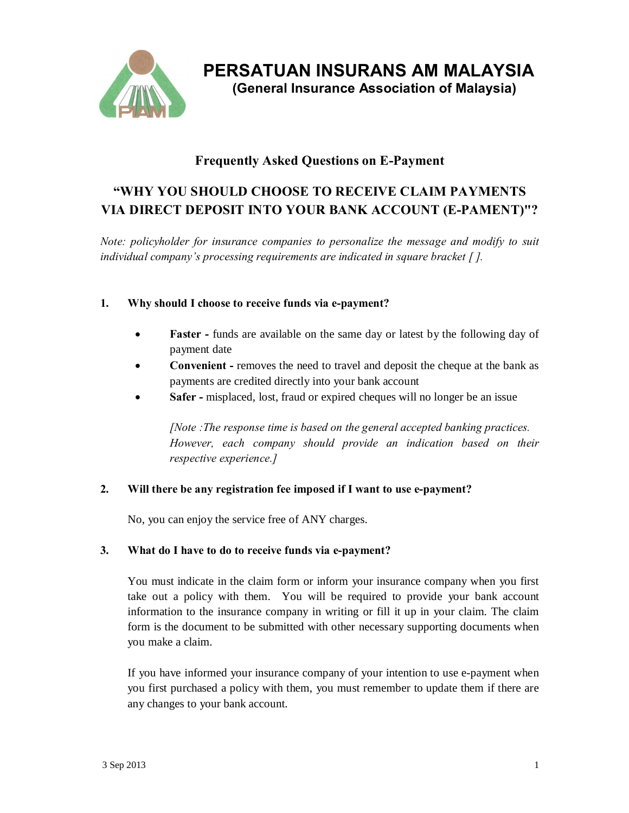

**PERSATUAN INSURANS AM MALAYSIA**

 **(General Insurance Association of Malaysia)** 

# **Frequently Asked Questions on E-Payment**

# **"WHY YOU SHOULD CHOOSE TO RECEIVE CLAIM PAYMENTS VIA DIRECT DEPOSIT INTO YOUR BANK ACCOUNT (E-PAMENT)"?**

*Note: policyholder for insurance companies to personalize the message and modify to suit individual company's processing requirements are indicated in square bracket [ ].*

### **1. Why should I choose to receive funds via e-payment?**

- **Faster** funds are available on the same day or latest by the following day of payment date
- · **Convenient -** removes the need to travel and deposit the cheque at the bank as payments are credited directly into your bank account
- **Safer** misplaced, lost, fraud or expired cheques will no longer be an issue

*[Note :The response time is based on the general accepted banking practices. However, each company should provide an indication based on their respective experience.]*

### **2. Will there be any registration fee imposed if I want to use e-payment?**

No, you can enjoy the service free of ANY charges.

### **3. What do I have to do to receive funds via e-payment?**

You must indicate in the claim form or inform your insurance company when you first take out a policy with them. You will be required to provide your bank account information to the insurance company in writing or fill it up in your claim. The claim form is the document to be submitted with other necessary supporting documents when you make a claim.

If you have informed your insurance company of your intention to use e-payment when you first purchased a policy with them, you must remember to update them if there are any changes to your bank account.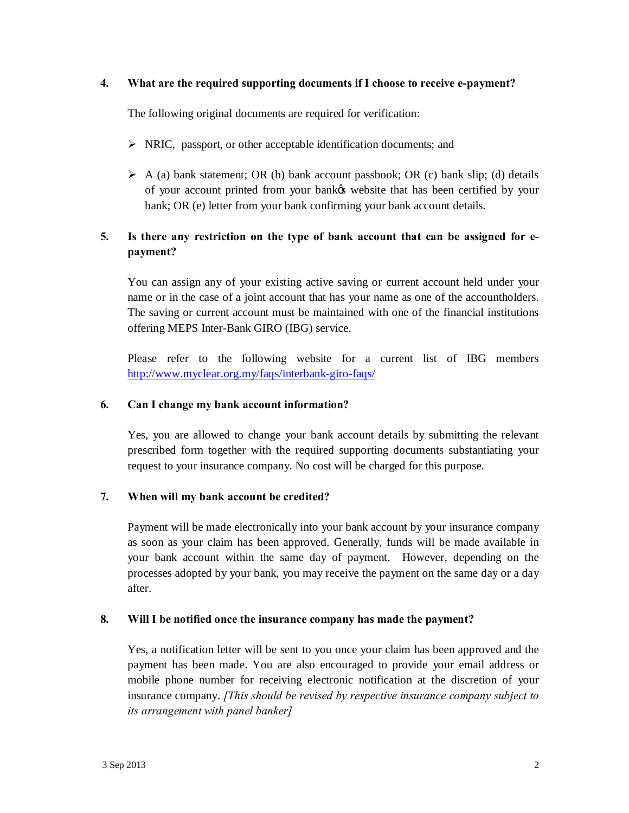#### **4. What are the required supporting documents if I choose to receive e-payment?**

The following original documents are required for verification:

- $\triangleright$  NRIC, passport, or other acceptable identification documents; and
- $\triangleright$  A (a) bank statement; OR (b) bank account passbook; OR (c) bank slip; (d) details of your account printed from your bank's website that has been certified by your bank; OR (e) letter from your bank confirming your bank account details.

## **5. Is there any restriction on the type of bank account that can be assigned for epayment?**

You can assign any of your existing active saving or current account held under your name or in the case of a joint account that has your name as one of the accountholders. The saving or current account must be maintained with one of the financial institutions offering MEPS Inter-Bank GIRO (IBG) service.

Please refer to the following website for a current list of IBG members http://www.myclear.org.my/faqs/interbank-giro-faqs/

#### **6. [Can I change my bank account information?](http://www.myclear.org.my/faqs/interbank-giro-faqs/)**

Yes, you are allowed to change your bank account details by submitting the relevant prescribed form together with the required supporting documents substantiating your request to your insurance company. No cost will be charged for this purpose.

### **7. When will my bank account be credited?**

Payment will be made electronically into your bank account by your insurance company as soon as your claim has been approved. Generally, funds will be made available in your bank account within the same day of payment. However, depending on the processes adopted by your bank, you may receive the payment on the same day or a day after.

#### **8. Will I be notified once the insurance company has made the payment?**

Yes, a notification letter will be sent to you once your claim has been approved and the payment has been made. You are also encouraged to provide your email address or mobile phone number for receiving electronic notification at the discretion of your insurance company. *[This should be revised by respective insurance company subject to its arrangement with panel banker]*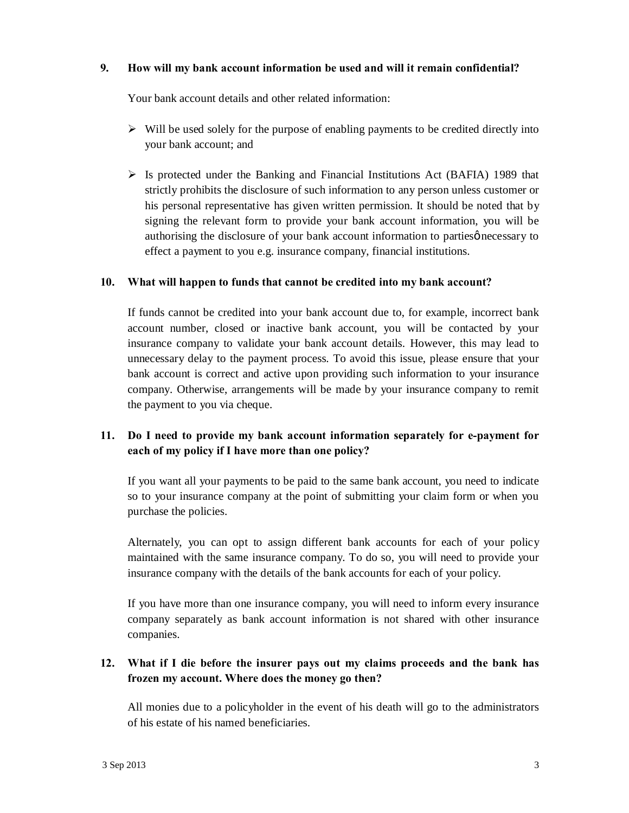#### **9. How will my bank account information be used and will it remain confidential?**

Your bank account details and other related information:

- $\triangleright$  Will be used solely for the purpose of enabling payments to be credited directly into your bank account; and
- $\triangleright$  Is protected under the Banking and Financial Institutions Act (BAFIA) 1989 that strictly prohibits the disclosure of such information to any person unless customer or his personal representative has given written permission. It should be noted that by signing the relevant form to provide your bank account information, you will be authorising the disclosure of your bank account information to parties *p* necessary to effect a payment to you e.g. insurance company, financial institutions.

#### **10. What will happen to funds that cannot be credited into my bank account?**

If funds cannot be credited into your bank account due to, for example, incorrect bank account number, closed or inactive bank account, you will be contacted by your insurance company to validate your bank account details. However, this may lead to unnecessary delay to the payment process. To avoid this issue, please ensure that your bank account is correct and active upon providing such information to your insurance company. Otherwise, arrangements will be made by your insurance company to remit the payment to you via cheque.

### **11. Do I need to provide my bank account information separately for e-payment for each of my policy if I have more than one policy?**

If you want all your payments to be paid to the same bank account, you need to indicate so to your insurance company at the point of submitting your claim form or when you purchase the policies.

Alternately, you can opt to assign different bank accounts for each of your policy maintained with the same insurance company. To do so, you will need to provide your insurance company with the details of the bank accounts for each of your policy.

If you have more than one insurance company, you will need to inform every insurance company separately as bank account information is not shared with other insurance companies.

### **12. What if I die before the insurer pays out my claims proceeds and the bank has frozen my account. Where does the money go then?**

All monies due to a policyholder in the event of his death will go to the administrators of his estate of his named beneficiaries.